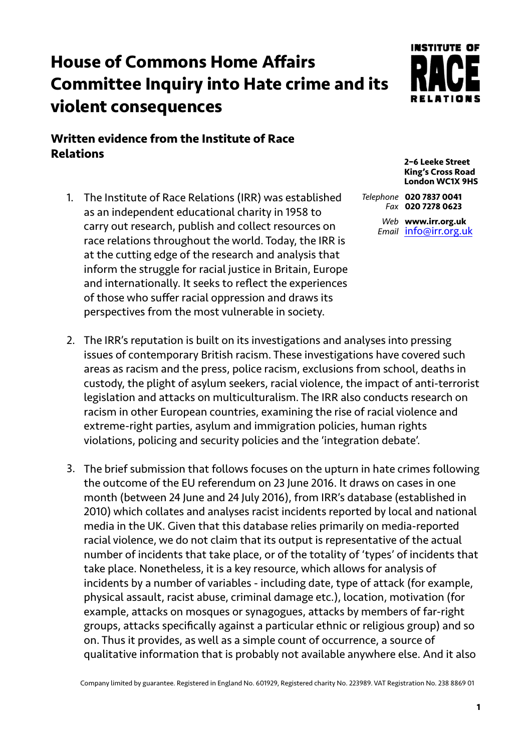## **House of Commons Home Affairs Committee Inquiry into Hate crime and its violent consequences**

## **Written evidence from the Institute of Race Relations**

1. The Institute of Race Relations (IRR) was established as an independent educational charity in 1958 to carry out research, publish and collect resources on race relations throughout the world. Today, the IRR is at the cutting edge of the research and analysis that inform the struggle for racial justice in Britain, Europe and internationally. It seeks to reflect the experiences of those who suffer racial oppression and draws its perspectives from the most vulnerable in society.

**INSTITUTE OF** 

**2–6 Leeke Street King's Cross Road London WC1X 9HS** 

*Telephone* **020 7837 0041** *Fax* **020 7278 0623**

> *Web* **www.irr.org.uk** *Email* [info@irr.org.uk](mailto:info@irr.org.uk)

- 2. The IRR's reputation is built on its investigations and analyses into pressing issues of contemporary British racism. These investigations have covered such areas as racism and the press, police racism, exclusions from school, deaths in custody, the plight of asylum seekers, racial violence, the impact of anti-terrorist legislation and attacks on multiculturalism. The IRR also conducts research on racism in other European countries, examining the rise of racial violence and extreme-right parties, asylum and immigration policies, human rights violations, policing and security policies and the 'integration debate'.
- 3. The brief submission that follows focuses on the upturn in hate crimes following the outcome of the EU referendum on 23 June 2016. It draws on cases in one month (between 24 June and 24 July 2016), from IRR's database (established in 2010) which collates and analyses racist incidents reported by local and national media in the UK. Given that this database relies primarily on media-reported racial violence, we do not claim that its output is representative of the actual number of incidents that take place, or of the totality of 'types' of incidents that take place. Nonetheless, it is a key resource, which allows for analysis of incidents by a number of variables - including date, type of attack (for example, physical assault, racist abuse, criminal damage etc.), location, motivation (for example, attacks on mosques or synagogues, attacks by members of far-right groups, attacks specifically against a particular ethnic or religious group) and so on. Thus it provides, as well as a simple count of occurrence, a source of qualitative information that is probably not available anywhere else. And it also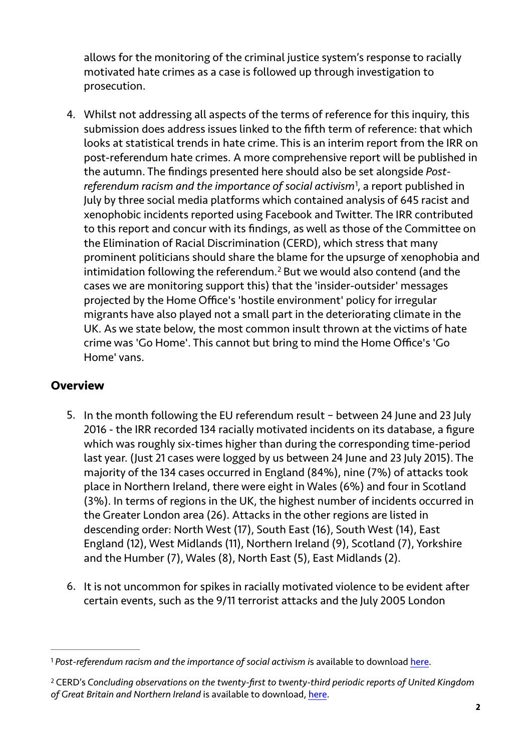allows for the monitoring of the criminal justice system's response to racially motivated hate crimes as a case is followed up through investigation to prosecution.

<span id="page-1-2"></span>4. Whilst not addressing all aspects of the terms of reference for this inquiry, this submission does address issues linked to the fifth term of reference: that which looks at statistical trends in hate crime. This is an interim report from the IRR on post-referendum hate crimes. A more comprehensive report will be published in the autumn. The findings presented here should also be set alongside *Post-referendum racism and the importance of social activism<sup>1</sup>[,](#page-1-0) a report published in* July by three social media platforms which contained analysis of 645 racist and xenophobic incidents reported using Facebook and Twitter. The IRR contributed to this report and concur with its findings, as well as those of the Committee on the Elimination of Racial Discrimination (CERD), which stress that many prominent politicians should share the blame for the upsurge of xenophobia and intimidationfollowing the referendum.<sup>[2](#page-1-1)</sup> But we would also contend (and the cases we are monitoring support this) that the 'insider-outsider' messages projected by the Home Office's 'hostile environment' policy for irregular migrants have also played not a small part in the deteriorating climate in the UK. As we state below, the most common insult thrown at the victims of hate crime was 'Go Home'. This cannot but bring to mind the Home Office's 'Go Home' vans.

## <span id="page-1-3"></span>**Overview**

- 5. In the month following the EU referendum result between 24 June and 23 July 2016 - the IRR recorded 134 racially motivated incidents on its database, a figure which was roughly six-times higher than during the corresponding time-period last year. (Just 21 cases were logged by us between 24 June and 23 July 2015). The majority of the 134 cases occurred in England (84%), nine (7%) of attacks took place in Northern Ireland, there were eight in Wales (6%) and four in Scotland (3%). In terms of regions in the UK, the highest number of incidents occurred in the Greater London area (26). Attacks in the other regions are listed in descending order: North West (17), South East (16), South West (14), East England (12), West Midlands (11), Northern Ireland (9), Scotland (7), Yorkshire and the Humber (7), Wales (8), North East (5), East Midlands (2).
- 6. It is not uncommon for spikes in racially motivated violence to be evident after certain events, such as the 9/11 terrorist attacks and the July 2005 London

<span id="page-1-0"></span><sup>&</sup>lt;sup>1</sup> Post-referendum racism and the importance of social activism is available to download [here](http://www.irr.org.uk/news/post-referendum-racism-and-the-importance-of-social-activism/).

<span id="page-1-1"></span>CERD's *Concluding observations on the twenty-first to twenty-third periodic reports of United Kingdom* [2](#page-1-3) *of Great Britain and Northern Ireland* is available to download, [here](http://tbinternet.ohchr.org/Treaties/CERD/Shared%2520Documents/GBR/CERD_C_GBR_CO_21-23_24985_E.pdf).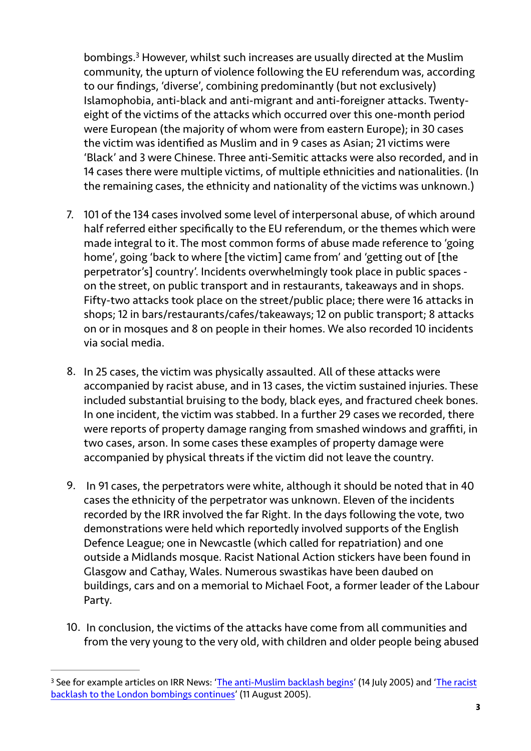<span id="page-2-1"></span>bombings.<sup>[3](#page-2-0)</sup> However, whilst such increases are usually directed at the Muslim community, the upturn of violence following the EU referendum was, according to our findings, 'diverse', combining predominantly (but not exclusively) Islamophobia, anti-black and anti-migrant and anti-foreigner attacks. Twentyeight of the victims of the attacks which occurred over this one-month period were European (the majority of whom were from eastern Europe); in 30 cases the victim was identified as Muslim and in 9 cases as Asian; 21 victims were 'Black' and 3 were Chinese. Three anti-Semitic attacks were also recorded, and in 14 cases there were multiple victims, of multiple ethnicities and nationalities. (In the remaining cases, the ethnicity and nationality of the victims was unknown.)

- 7. 101 of the 134 cases involved some level of interpersonal abuse, of which around half referred either specifically to the EU referendum, or the themes which were made integral to it. The most common forms of abuse made reference to 'going home', going 'back to where [the victim] came from' and 'getting out of [the perpetrator's] country'. Incidents overwhelmingly took place in public spaces on the street, on public transport and in restaurants, takeaways and in shops. Fifty-two attacks took place on the street/public place; there were 16 attacks in shops; 12 in bars/restaurants/cafes/takeaways; 12 on public transport; 8 attacks on or in mosques and 8 on people in their homes. We also recorded 10 incidents via social media.
- 8. In 25 cases, the victim was physically assaulted. All of these attacks were accompanied by racist abuse, and in 13 cases, the victim sustained injuries. These included substantial bruising to the body, black eyes, and fractured cheek bones. In one incident, the victim was stabbed. In a further 29 cases we recorded, there were reports of property damage ranging from smashed windows and graffiti, in two cases, arson. In some cases these examples of property damage were accompanied by physical threats if the victim did not leave the country.
- 9. In 91 cases, the perpetrators were white, although it should be noted that in 40 cases the ethnicity of the perpetrator was unknown. Eleven of the incidents recorded by the IRR involved the far Right. In the days following the vote, two demonstrations were held which reportedly involved supports of the English Defence League; one in Newcastle (which called for repatriation) and one outside a Midlands mosque. Racist National Action stickers have been found in Glasgow and Cathay, Wales. Numerous swastikas have been daubed on buildings, cars and on a memorial to Michael Foot, a former leader of the Labour Party.
- 10. In conclusion, the victims of the attacks have come from all communities and from the very young to the very old, with children and older people being abused

<span id="page-2-0"></span><sup>&</sup>lt;sup>3</sup> [See for example articles on IRR News: '](http://www.irr.org.uk/news/the-racist-backlash-to-the-london-bombings-continues/)[The anti-Muslim backlash begin](http://www.irr.org.uk/news/the-anti-muslim-backlash-begins/)s' (14 July 2005) and 'The racist backlash to the London bombings continues' (11 August 2005).